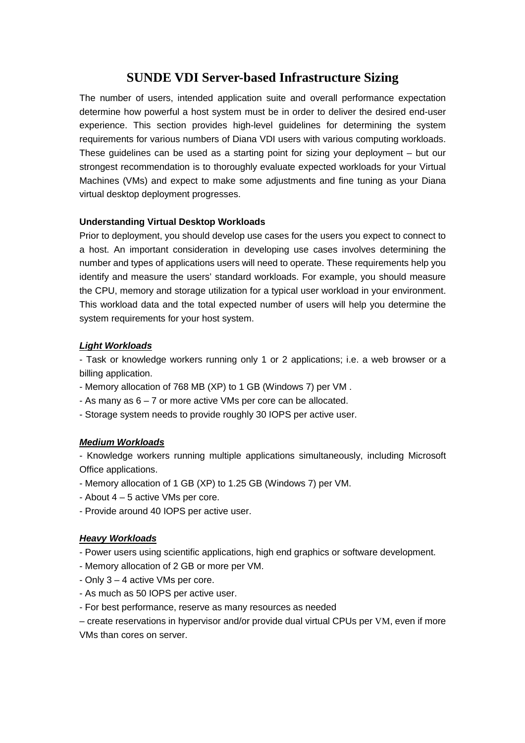# **SUNDE VDI Server-based Infrastructure Sizing**

The number of users, intended application suite and overall performance expectation determine how powerful a host system must be in order to deliver the desired end-user experience. This section provides high-level guidelines for determining the system requirements for various numbers of Diana VDI users with various computing workloads. These guidelines can be used as a starting point for sizing your deployment – but our strongest recommendation is to thoroughly evaluate expected workloads for your Virtual Machines (VMs) and expect to make some adjustments and fine tuning as your Diana virtual desktop deployment progresses.

## **Understanding Virtual Desktop Workloads**

Prior to deployment, you should develop use cases for the users you expect to connect to a host. An important consideration in developing use cases involves determining the number and types of applications users will need to operate. These requirements help you identify and measure the users' standard workloads. For example, you should measure the CPU, memory and storage utilization for a typical user workload in your environment. This workload data and the total expected number of users will help you determine the system requirements for your host system.

## **Light Workloads**

- Task or knowledge workers running only 1 or 2 applications; i.e. a web browser or a billing application.

- Memory allocation of 768 MB (XP) to 1 GB (Windows 7) per VM .
- As many as 6 7 or more active VMs per core can be allocated.
- Storage system needs to provide roughly 30 IOPS per active user.

## **Medium Workloads**

- Knowledge workers running multiple applications simultaneously, including Microsoft Office applications.

- Memory allocation of 1 GB (XP) to 1.25 GB (Windows 7) per VM.
- About 4 5 active VMs per core.
- Provide around 40 IOPS per active user.

## **Heavy Workloads**

- Power users using scientific applications, high end graphics or software development.
- Memory allocation of 2 GB or more per VM.
- Only 3 4 active VMs per core.
- As much as 50 IOPS per active user.
- For best performance, reserve as many resources as needed

– create reservations in hypervisor and/or provide dual virtual CPUs per VM, even if more VMs than cores on server.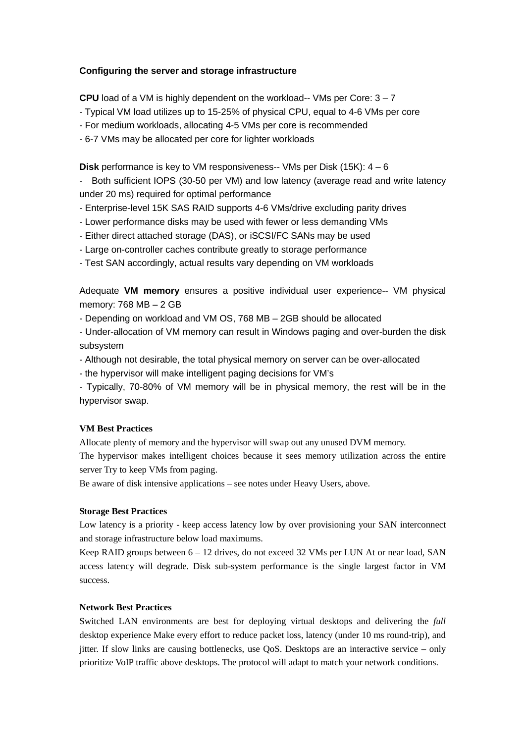## **Configuring the server and storage infrastructure**

**CPU** load of a VM is highly dependent on the workload-- VMs per Core: 3 – 7

- Typical VM load utilizes up to 15-25% of physical CPU, equal to 4-6 VMs per core

- For medium workloads, allocating 4-5 VMs per core is recommended

- 6-7 VMs may be allocated per core for lighter workloads

**Disk** performance is key to VM responsiveness-- VMs per Disk (15K): 4 – 6

- Both sufficient IOPS (30-50 per VM) and low latency (average read and write latency under 20 ms) required for optimal performance

- Enterprise-level 15K SAS RAID supports 4-6 VMs/drive excluding parity drives
- Lower performance disks may be used with fewer or less demanding VMs
- Either direct attached storage (DAS), or iSCSI/FC SANs may be used
- Large on-controller caches contribute greatly to storage performance

- Test SAN accordingly, actual results vary depending on VM workloads

Adequate **VM memory** ensures a positive individual user experience-- VM physical memory: 768 MB – 2 GB

- Depending on workload and VM OS, 768 MB – 2GB should be allocated

- Under-allocation of VM memory can result in Windows paging and over-burden the disk subsystem

- Although not desirable, the total physical memory on server can be over-allocated
- the hypervisor will make intelligent paging decisions for VM's

- Typically, 70-80% of VM memory will be in physical memory, the rest will be in the hypervisor swap.

## **VM Best Practices**

Allocate plenty of memory and the hypervisor will swap out any unused DVM memory.

The hypervisor makes intelligent choices because it sees memory utilization across the entire server Try to keep VMs from paging.

Be aware of disk intensive applications – see notes under Heavy Users, above.

## **Storage Best Practices**

Low latency is a priority - keep access latency low by over provisioning your SAN interconnect and storage infrastructure below load maximums.

Keep RAID groups between 6 – 12 drives, do not exceed 32 VMs per LUN At or near load, SAN access latency will degrade. Disk sub-system performance is the single largest factor in VM success.

## **Network Best Practices**

Switched LAN environments are best for deploying virtual desktops and delivering the *full*  desktop experience Make every effort to reduce packet loss, latency (under 10 ms round-trip), and jitter. If slow links are causing bottlenecks, use QoS. Desktops are an interactive service – only prioritize VoIP traffic above desktops. The protocol will adapt to match your network conditions.